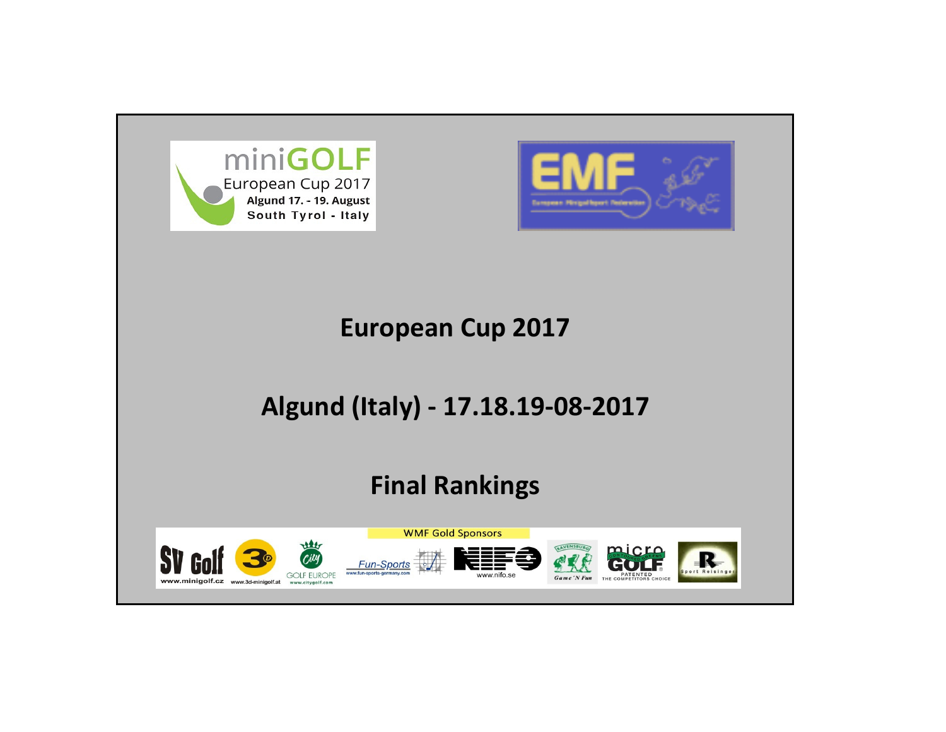



# European Cup 2017

# Algund (Italy) - 17.18.19-08-2017

# Final Rankings

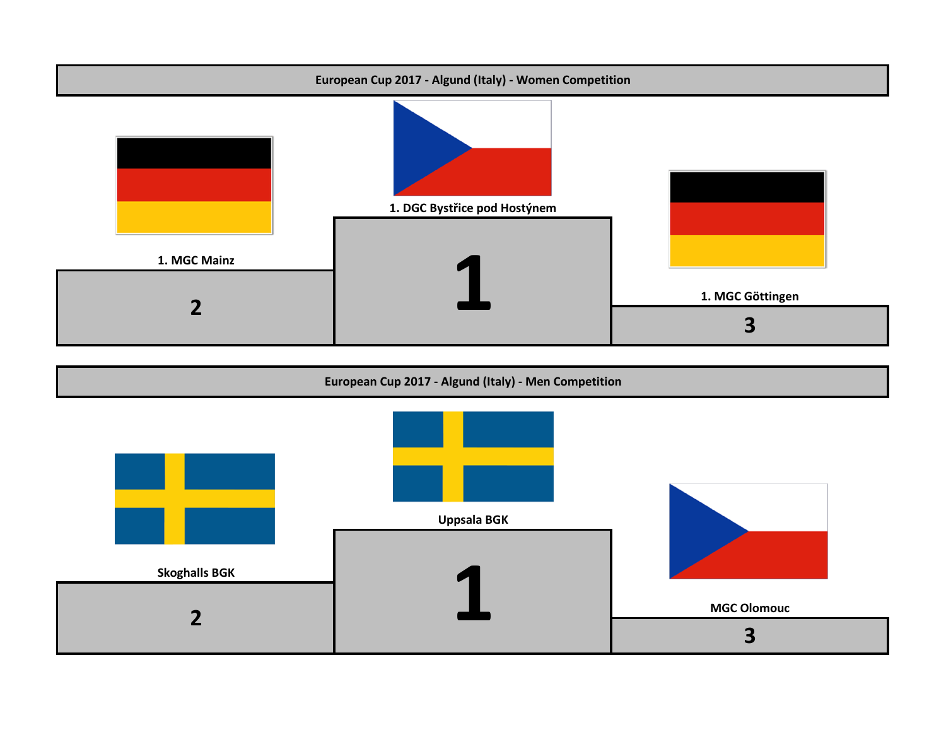

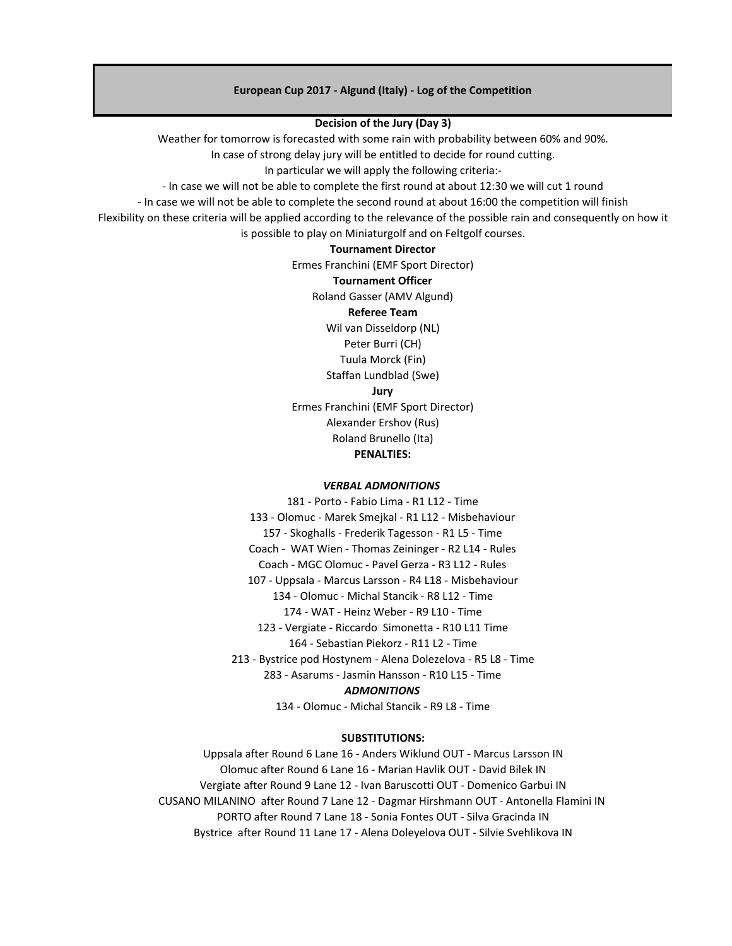#### European Cup 2017 - Algund (Italy) - Log of the Competition

#### Decision of the Jury (Day 3)

Weather for tomorrow is forecasted with some rain with probability between 60% and 90%.

In case of strong delay jury will be entitled to decide for round cutting.

In particular we will apply the following criteria:-

- In case we will not be able to complete the first round at about 12:30 we will cut 1 round

- In case we will not be able to complete the second round at about 16:00 the competition will finish

Flexibility on these criteria will be applied according to the relevance of the possible rain and consequently on how it is possible to play on Miniaturgolf and on Feltgolf courses.

## Tournament Director

Ermes Franchini (EMF Sport Director)

#### Tournament Officer

Roland Gasser (AMV Algund)

#### Referee Team

Wil van Disseldorp (NL)

Peter Burri (CH)

Tuula Morck (Fin)

Staffan Lundblad (Swe)

Jury

Ermes Franchini (EMF Sport Director) Alexander Ershov (Rus) Roland Brunello (Ita)

PENALTIES:

#### VERBAL ADMONITIONS

181 - Porto - Fabio Lima - R1 L12 - Time 133 - Olomuc - Marek Smejkal - R1 L12 - Misbehaviour 157 - Skoghalls - Frederik Tagesson - R1 L5 - Time Coach - WAT Wien - Thomas Zeininger - R2 L14 - Rules Coach - MGC Olomuc - Pavel Gerza - R3 L12 - Rules 107 - Uppsala - Marcus Larsson - R4 L18 - Misbehaviour 134 - Olomuc - Michal Stancik - R8 L12 - Time 174 - WAT - Heinz Weber - R9 L10 - Time 123 - Vergiate - Riccardo Simonetta - R10 L11 Time 164 - Sebastian Piekorz - R11 L2 - Time 213 - Bystrice pod Hostynem - Alena Dolezelova - R5 L8 - Time 283 - Asarums - Jasmin Hansson - R10 L15 - Time **ADMONITIONS** 

134 - Olomuc - Michal Stancik - R9 L8 - Time

#### SUBSTITUTIONS:

Uppsala after Round 6 Lane 16 - Anders Wiklund OUT - Marcus Larsson IN Olomuc after Round 6 Lane 16 - Marian Havlik OUT - David Bilek IN Vergiate after Round 9 Lane 12 - Ivan Baruscotti OUT - Domenico Garbui IN CUSANO MILANINO after Round 7 Lane 12 - Dagmar Hirshmann OUT - Antonella Flamini IN PORTO after Round 7 Lane 18 - Sonia Fontes OUT - Silva Gracinda IN Bystrice after Round 11 Lane 17 - Alena Doleyelova OUT - Silvie Svehlikova IN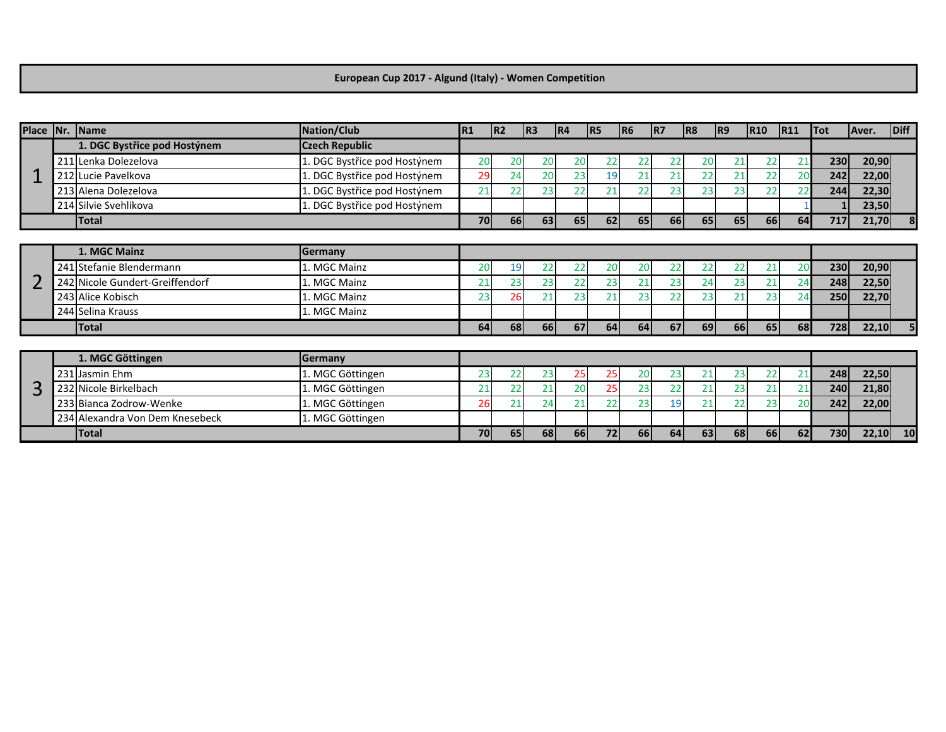### European Cup 2017 - Algund (Italy) - Women Competition

|   | Place Nr. Name                  | Nation/Club                  | R1        | R2        | R3        | R4 | R5 | R6        | IR7       | R8 | R9        | R10 | R11 | <b>Tot</b> | Aver. | Diff      |
|---|---------------------------------|------------------------------|-----------|-----------|-----------|----|----|-----------|-----------|----|-----------|-----|-----|------------|-------|-----------|
|   | 1. DGC Bystřice pod Hostýnem    | <b>Czech Republic</b>        |           |           |           |    |    |           |           |    |           |     |     |            |       |           |
|   | 211 Lenka Dolezelova            | 1. DGC Bystřice pod Hostýnem | 20        | 20        | 20        | 20 | 22 | 22        | 22        | 20 | 21        | 22  | 21  | 230        | 20,90 |           |
|   | 212 Lucie Pavelkova             | . DGC Bystřice pod Hostýnem  | 29        | 24        | 20        | 23 | 19 | 21        | 21        | 22 | 21        | 22  | 20  | 242        | 22,00 |           |
|   | 213 Alena Dolezelova            | 1. DGC Bystřice pod Hostýnem | 21        | 22        | 23        | 22 | 21 | 22        | 23        | 23 | 23        | 22  |     | 244        | 22,30 |           |
|   | 214 Silvie Svehlikova           | 1. DGC Bystřice pod Hostýnem |           |           |           |    |    |           |           |    |           |     |     |            | 23,50 |           |
|   | <b>Total</b>                    |                              | 70        | <b>66</b> | <b>63</b> | 65 | 62 | 65        | <b>66</b> | 65 | 65        | 66  | 64  | 717        | 21,70 |           |
|   |                                 |                              |           |           |           |    |    |           |           |    |           |     |     |            |       |           |
|   | 1. MGC Mainz                    | <b>Germany</b>               |           |           |           |    |    |           |           |    |           |     |     |            |       |           |
|   | 241 Stefanie Blendermann        | 1. MGC Mainz                 | 20        | 19        | 22        | 22 | 20 | 20        | 22        | 22 | 22        | 21  | 20  | 230        | 20,90 |           |
|   | 242 Nicole Gundert-Greiffendorf | 1. MGC Mainz                 | 21        | 23        | 23        | 22 | 23 | 21        | 23        | 24 | 23        | 21  |     | 248        | 22,50 |           |
|   | 243 Alice Kobisch               | 1. MGC Mainz                 | 23        | 26        | 21        | 23 | 21 | 23        | 22        | 23 | 21        | 23  |     | 250        | 22,70 |           |
|   | 244 Selina Krauss               | 1. MGC Mainz                 |           |           |           |    |    |           |           |    |           |     |     |            |       |           |
|   | Total                           |                              | <b>64</b> | <b>68</b> | <b>66</b> | 67 | 64 | 64        | 67        | 69 | <b>66</b> | 65  | 68  | 728        | 22,10 |           |
|   |                                 |                              |           |           |           |    |    |           |           |    |           |     |     |            |       |           |
|   | 1. MGC Göttingen                | Germany                      |           |           |           |    |    |           |           |    |           |     |     |            |       |           |
|   | 231 Jasmin Ehm                  | 1. MGC Göttingen             | 23        | 22        | 23        | 25 | 25 | 20        | 23        | 21 | 23        | 22  |     | 248        | 22,50 |           |
| 3 | 232 Nicole Birkelbach           | 1. MGC Göttingen             | 21        | 22        | 21        | 20 | 25 | 23        | 22        | 21 | 23        | 21  |     | 240        | 21,80 |           |
|   | 233 Bianca Zodrow-Wenke         | 1. MGC Göttingen             | 26        | 21        | 24        | 21 | 22 | 23        | 19        | 21 | 22        | 23  | 20  | 242        | 22,00 |           |
|   | 234 Alexandra Von Dem Knesebeck | 1. MGC Göttingen             |           |           |           |    |    |           |           |    |           |     |     |            |       |           |
|   | <b>Total</b>                    |                              | <b>70</b> | 65        | 68        | 66 | 72 | <b>66</b> | 64        | 63 | 68        | 66  | 62  | 730        | 22,10 | <b>10</b> |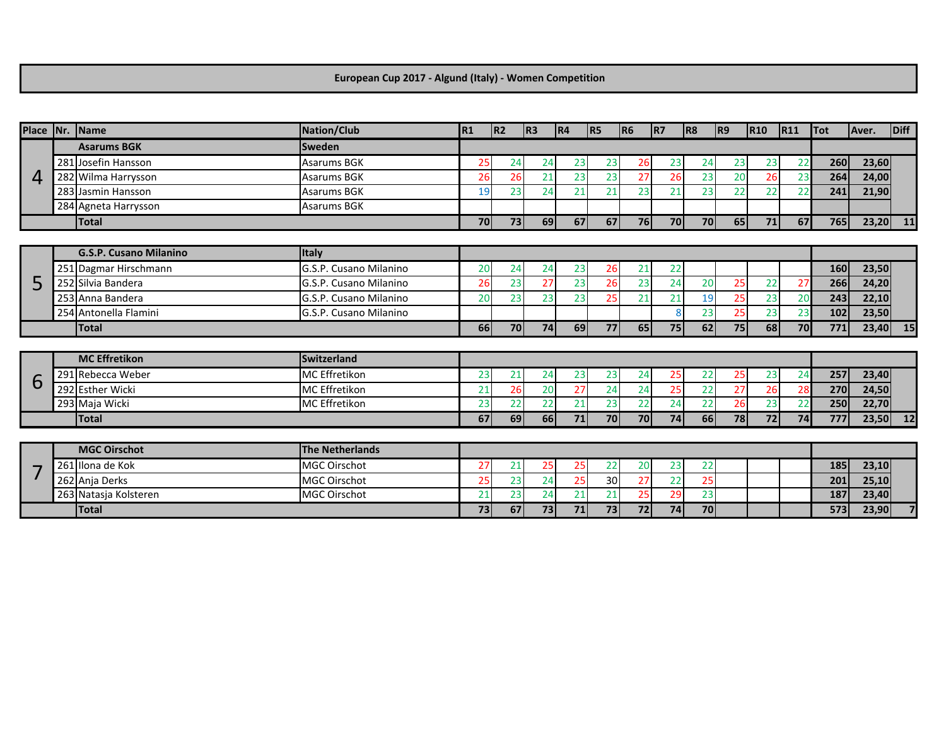### European Cup 2017 - Algund (Italy) - Women Competition

| Place   Nr.   Name |                               | <b>Nation/Club</b>     | R1 | R2 | R3        | R4 | R <sub>5</sub> | R6        | R7 | R8              | R9              | <b>R10</b> | R11 | $\overline{\text{Tot}}$ | Aver.      | Diff |
|--------------------|-------------------------------|------------------------|----|----|-----------|----|----------------|-----------|----|-----------------|-----------------|------------|-----|-------------------------|------------|------|
|                    | <b>Asarums BGK</b>            | <b>Sweden</b>          |    |    |           |    |                |           |    |                 |                 |            |     |                         |            |      |
|                    | 281 Josefin Hansson           | <b>Asarums BGK</b>     | 25 | 24 | 24        | 23 | 23             | 26        | 23 | 24              | 23              | 23         | 22  | 260                     | 23,60      |      |
| 4                  | 282 Wilma Harrysson           | <b>Asarums BGK</b>     | 26 | 26 | 21        | 23 | 23             | 27        | 26 | 23              | 20              | 26         | 23  | 264                     | 24,00      |      |
|                    | 283 Jasmin Hansson            | <b>Asarums BGK</b>     | 19 | 23 | 24        | 21 | 21             | 23        | 21 | 23              | 22              | 22         | 22  | 241                     | 21,90      |      |
|                    | 284 Agneta Harrysson          | <b>Asarums BGK</b>     |    |    |           |    |                |           |    |                 |                 |            |     |                         |            |      |
|                    | <b>Total</b>                  |                        | 70 | 73 | 69        | 67 | 67             | <b>76</b> | 70 | 70              | 65 <sub>1</sub> | 71         | 67  | 765                     | $23,20$ 11 |      |
|                    |                               |                        |    |    |           |    |                |           |    |                 |                 |            |     |                         |            |      |
|                    | <b>G.S.P. Cusano Milanino</b> | <b>Italy</b>           |    |    |           |    |                |           |    |                 |                 |            |     |                         |            |      |
|                    | 251 Dagmar Hirschmann         | G.S.P. Cusano Milanino | 20 | 24 | 24        | 23 | 26             | 21        | 22 |                 |                 |            |     | 160                     | 23,50      |      |
| 5                  | 252 Silvia Bandera            | G.S.P. Cusano Milanino | 26 | 23 | 27        | 23 | 26             | 23        | 24 | 20              | 25              | 22         | 27  | 266                     | 24,20      |      |
|                    | 253 Anna Bandera              | G.S.P. Cusano Milanino | 20 | 23 | 23        | 23 | 25             | 21        | 21 | 19              | 25              | 23         | 20  | 243                     | 22,10      |      |
|                    | 254 Antonella Flamini         | G.S.P. Cusano Milanino |    |    |           |    |                |           | 8  | 23              | 25              | 23         | 23  | 102                     | 23,50      |      |
|                    | <b>Total</b>                  |                        | 66 | 70 | 74        | 69 | 77             | 65        | 75 | 62              | 75              | 68         | 70  | 771                     | $23,40$ 15 |      |
|                    |                               |                        |    |    |           |    |                |           |    |                 |                 |            |     |                         |            |      |
|                    | <b>MC</b> Effretikon          | <b>Switzerland</b>     |    |    |           |    |                |           |    |                 |                 |            |     |                         |            |      |
| 6                  | 291 Rebecca Weber             | <b>MC</b> Effretikon   | 23 | 21 | 24        | 23 | 23             | 24        | 25 | 22              | 25              | 23         | 24  | 257                     | 23,40      |      |
|                    | 292 Esther Wicki              | <b>MC</b> Effretikon   | 21 | 26 | 20        | 27 | 24             | 24        | 25 | 22              | 27              | 26         | 28  | 270                     | 24,50      |      |
|                    | 293 Maja Wicki                | <b>MC</b> Effretikon   | 23 | 22 | 22        | 21 | 23             | 22        | 24 | $\overline{22}$ | 26              | 23         | 22  | 250                     | 22,70      |      |
|                    | <b>Total</b>                  |                        | 67 | 69 | <b>66</b> | 71 | 70             | <b>70</b> | 74 | 66              | <b>78</b>       | 72         | 74  | 777                     | $23,50$ 12 |      |
|                    |                               |                        |    |    |           |    |                |           |    |                 |                 |            |     |                         |            |      |
|                    | <b>MGC Oirschot</b>           | <b>The Netherlands</b> |    |    |           |    |                |           |    |                 |                 |            |     |                         |            |      |
|                    | 261 Ilona de Kok              | <b>MGC Oirschot</b>    | 27 | 21 | 25        | 25 | 22             | 20        | 23 | 22              |                 |            |     | 185                     | 23,10      |      |
|                    | 262 Anja Derks                | <b>MGC Oirschot</b>    | 25 | 23 | 24        | 25 | 30             | 27        | 22 | 25              |                 |            |     | 201                     | 25,10      |      |
|                    | 263 Natasja Kolsteren         | <b>MGC Oirschot</b>    | 21 | 23 | 24        | 21 | 21             | 25        | 29 | $\overline{23}$ |                 |            |     | 187                     | 23,40      |      |
|                    | <b>Total</b>                  |                        | 73 | 67 | 73        | 71 | 73             | 72        | 74 | 70              |                 |            |     | 573                     | 23,90      |      |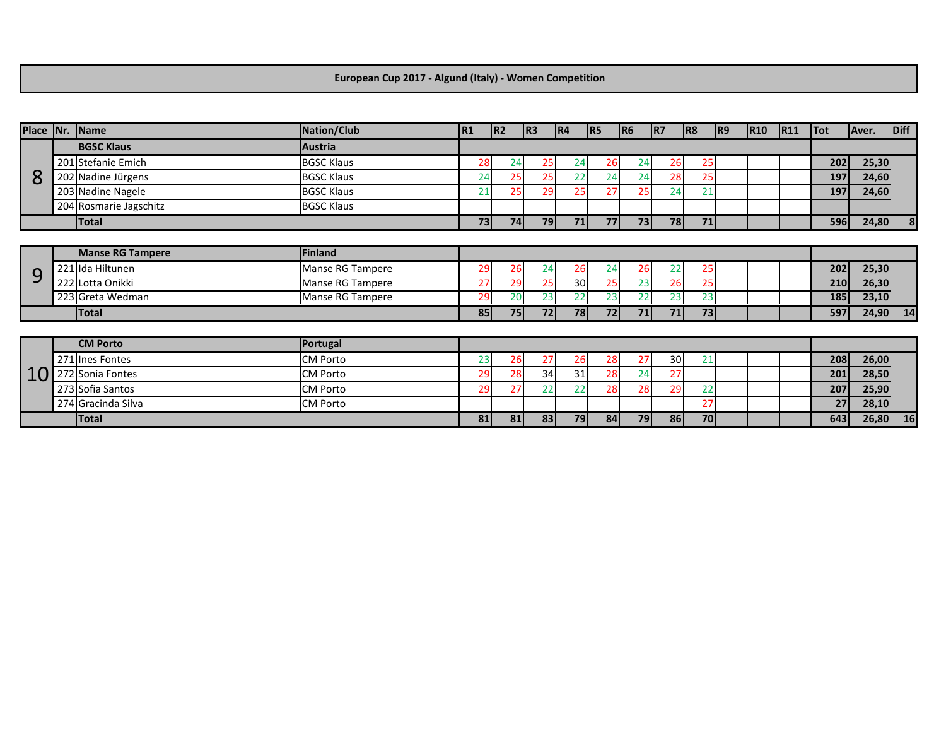### European Cup 2017 - Algund (Italy) - Women Competition

| Place Nr. | Name                    | Nation/Club       | IR <sub>1</sub> | R2 | R3 | R4 | R <sub>5</sub> | IR6       | R7              | R8 | R9 | <b>R10</b> | R11 | <b>Tot</b> | Aver. | Diff |
|-----------|-------------------------|-------------------|-----------------|----|----|----|----------------|-----------|-----------------|----|----|------------|-----|------------|-------|------|
|           | <b>BGSC Klaus</b>       | <b>Austria</b>    |                 |    |    |    |                |           |                 |    |    |            |     |            |       |      |
|           | 201 Stefanie Emich      | <b>BGSC Klaus</b> | 28              | 24 | 25 | 24 | 26             | 24        | 26              | 25 |    |            |     | 202        | 25,30 |      |
| 8         | 202 Nadine Jürgens      | <b>BGSC Klaus</b> | 24              | 25 | 25 | 22 | 24             | 24        | 28              | 25 |    |            |     | 197        | 24,60 |      |
|           | 203 Nadine Nagele       | <b>BGSC Klaus</b> | 21              | 25 | 29 | 25 | 27             | 25        | 24              | 21 |    |            |     | 197        | 24,60 |      |
|           | 204 Rosmarie Jagschitz  | <b>BGSC Klaus</b> |                 |    |    |    |                |           |                 |    |    |            |     |            |       |      |
|           | <b>Total</b>            |                   | 73              | 74 | 79 | 71 | 77             | 73        | 78              | 71 |    |            |     | 596        | 24,80 | 8    |
|           |                         |                   |                 |    |    |    |                |           |                 |    |    |            |     |            |       |      |
|           | <b>Manse RG Tampere</b> | Finland           |                 |    |    |    |                |           |                 |    |    |            |     |            |       |      |
| 9         | 221 Ida Hiltunen        | Manse RG Tampere  | 29              | 26 | 24 | 26 | 24             | 26        | 22              | 25 |    |            |     | 202        | 25,30 |      |
|           | 222 Lotta Onikki        | Manse RG Tampere  | 27              | 29 | 25 | 30 | 25             | 23        | 26              | 25 |    |            |     | 210        | 26,30 |      |
|           | 223 Greta Wedman        | Manse RG Tampere  | 29              | 20 | 23 | 22 | 23             | 22        | $2\overline{3}$ | 23 |    |            |     | 185        | 23,10 |      |
|           | <b>Total</b>            |                   | 85              | 75 | 72 | 78 | 72             | 71        | 71              | 73 |    |            |     | 597        | 24,90 | 14   |
|           |                         |                   |                 |    |    |    |                |           |                 |    |    |            |     |            |       |      |
|           | <b>CM Porto</b>         | Portugal          |                 |    |    |    |                |           |                 |    |    |            |     |            |       |      |
|           | 271 Ines Fontes         | <b>CM Porto</b>   | 23              | 26 | 27 | 26 | 28             | 27        | 30              | 21 |    |            |     | 208        | 26,00 |      |
| 10        | 272 Sonia Fontes        | <b>CM Porto</b>   | 29              | 28 | 34 | 31 | 28             | 24        | 27              |    |    |            |     | 201        | 28,50 |      |
|           | 273 Sofia Santos        | <b>CM Porto</b>   | 29              | 27 | 22 | 22 | 28             | 28        | 29              | 22 |    |            |     | 207        | 25,90 |      |
|           | 274 Gracinda Silva      | <b>CM Porto</b>   |                 |    |    |    |                |           |                 | 27 |    |            |     | 27         | 28,10 |      |
|           | <b>Total</b>            |                   | 81              | 81 | 83 | 79 | 84             | <b>79</b> | 86              | 70 |    |            |     | 643        | 26,80 | 16   |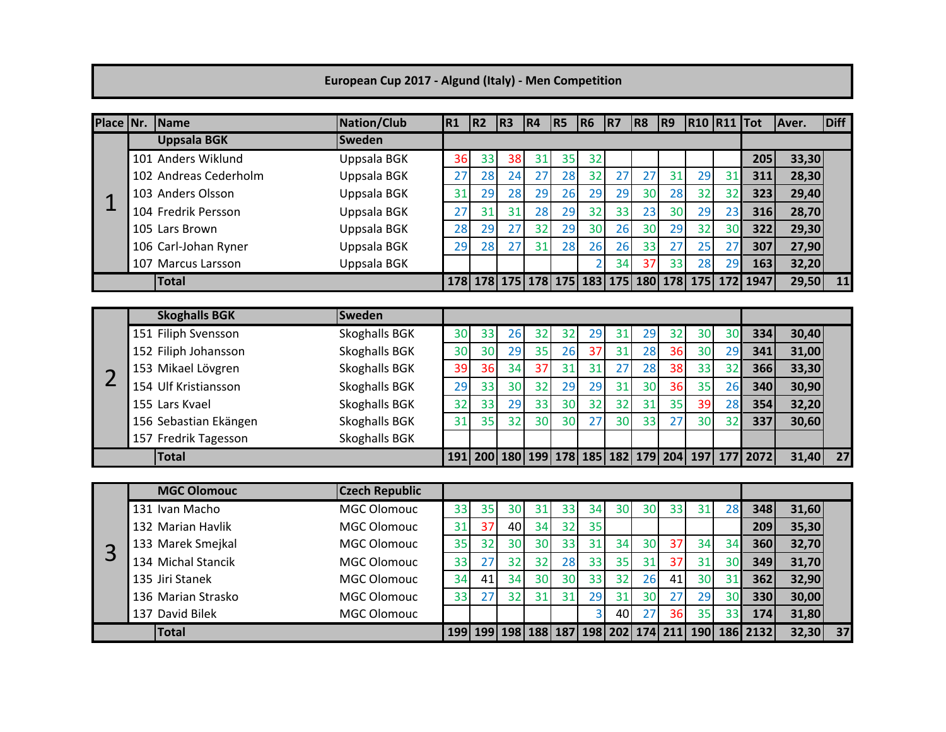## European Cup 2017 - Algund (Italy) - Men Competition

| Place Nr.      | Name                  | <b>Nation/Club</b>    | R1  | R2 | R3                              | R4 | R <sub>5</sub> | R6                      | R7 | R8  | R9                              | <b>R10 R11 Tot</b> |     |          | Aver. | Diff |
|----------------|-----------------------|-----------------------|-----|----|---------------------------------|----|----------------|-------------------------|----|-----|---------------------------------|--------------------|-----|----------|-------|------|
|                | <b>Uppsala BGK</b>    | <b>Sweden</b>         |     |    |                                 |    |                |                         |    |     |                                 |                    |     |          |       |      |
|                | 101 Anders Wiklund    | Uppsala BGK           | 36  | 33 | 38                              | 31 | 35             | 32                      |    |     |                                 |                    |     | 205      | 33,30 |      |
|                | 102 Andreas Cederholm | Uppsala BGK           | 27  | 28 | 24                              | 27 | 28             | 32                      | 27 | 27  | 31                              | 29                 | 31  | 311      | 28,30 |      |
| 1              | 103 Anders Olsson     | Uppsala BGK           | 31  | 29 | 28                              | 29 | 26             | 29                      | 29 | 30  | 28                              | 32                 | 32  | 323      | 29,40 |      |
|                | 104 Fredrik Persson   | Uppsala BGK           | 27  | 31 | 31                              | 28 | 29             | 32                      | 33 | 23  | 30                              | 29                 | 23  | 316      | 28,70 |      |
|                | 105 Lars Brown        | Uppsala BGK           | 28  | 29 | 27                              | 32 | 29             | 30                      | 26 | 30  | 29                              | 32                 | 30  | 322      | 29,30 |      |
|                | 106 Carl-Johan Ryner  | Uppsala BGK           | 29  | 28 | 27                              | 31 | 28             | 26                      | 26 | 33  | 27                              | 25                 | 27  | 307      | 27,90 |      |
|                | 107 Marcus Larsson    | Uppsala BGK           |     |    |                                 |    |                | D                       | 34 | 37  | 33                              | 28                 | 29  | 163      | 32,20 |      |
|                | <b>Total</b>          |                       |     |    | 178 178 175 178 175 183 175     |    |                |                         |    | 180 | 178                             | <b>175</b>         | 172 | 1947     | 29,50 | 11   |
|                |                       |                       |     |    |                                 |    |                |                         |    |     |                                 |                    |     |          |       |      |
|                | <b>Skoghalls BGK</b>  | <b>Sweden</b>         |     |    |                                 |    |                |                         |    |     |                                 |                    |     |          |       |      |
|                | 151 Filiph Svensson   | Skoghalls BGK         | 30  | 33 | 26                              | 32 | 32             | 29                      | 31 | 29  | 32                              | 30                 | 30  | 334      | 30,40 |      |
|                | 152 Filiph Johansson  | Skoghalls BGK         | 30  | 30 | 29                              | 35 | 26             | 37                      | 31 | 28  | 36                              | 30                 | 29  | 341      | 31,00 |      |
| $\overline{2}$ | 153 Mikael Lövgren    | Skoghalls BGK         | 39  | 36 | 34                              | 37 | 31             | 31                      | 27 | 28  | 38                              | 33                 | 32  | 366      | 33,30 |      |
|                | 154 Ulf Kristiansson  | Skoghalls BGK         | 29  | 33 | 30                              | 32 | 29             | 29                      | 31 | 30  | 36                              | 35                 | 26  | 340      | 30,90 |      |
|                | 155 Lars Kvael        | Skoghalls BGK         | 32  | 33 | 29                              | 33 | 30             | 32                      | 32 | 31  | 35                              | 39                 | 28  | 354      | 32,20 |      |
|                | 156 Sebastian Ekängen | Skoghalls BGK         | 31  | 35 | 32                              | 30 | 30             | 27                      | 30 | 33  | 27                              | 30                 | 32  | 337      | 30,60 |      |
|                | 157 Fredrik Tagesson  | Skoghalls BGK         |     |    |                                 |    |                |                         |    |     |                                 |                    |     |          |       |      |
|                | <b>Total</b>          |                       | 191 |    |                                 |    |                |                         |    |     | 200 180 199 178 185 182 179 204 | 197                | 177 | 2072     | 31,40 | 27   |
|                |                       |                       |     |    |                                 |    |                |                         |    |     |                                 |                    |     |          |       |      |
|                | <b>MGC Olomouc</b>    | <b>Czech Republic</b> |     |    |                                 |    |                |                         |    |     |                                 |                    |     |          |       |      |
|                | 131 Ivan Macho        | <b>MGC Olomouc</b>    | 33  | 35 | 30                              | 31 | 33             | 34                      | 30 | 30  | 33                              | 31                 | 28  | 348      | 31,60 |      |
|                | 132 Marian Havlik     | <b>MGC Olomouc</b>    | 31  | 37 | 40                              | 34 | 32             | 35                      |    |     |                                 |                    |     | 209      | 35,30 |      |
| 3              | 133 Marek Smejkal     | <b>MGC Olomouc</b>    | 35  | 32 | 30                              | 30 | 33             | 31                      | 34 | 30  | 37                              | 34                 | 34  | 360      | 32,70 |      |
|                | 134 Michal Stancik    | <b>MGC Olomouc</b>    | 33  | 27 | 32                              | 32 | 28             | 33                      | 35 | 31  | 37                              | 31                 | 30  | 349      | 31,70 |      |
|                | 135 Jiri Stanek       | <b>MGC Olomouc</b>    | 34  | 41 | 34                              | 30 | 30             | 33                      | 32 | 26  | 41                              | 30                 | 31  | 362      | 32,90 |      |
|                | 136 Marian Strasko    | <b>MGC Olomouc</b>    | 33  | 27 | 32                              | 31 | 31             | 29                      | 31 | 30  | 27                              | 29                 | 30  | 330      | 30,00 |      |
|                | 137 David Bilek       | <b>MGC Olomouc</b>    |     |    |                                 |    |                | $\overline{\mathbf{3}}$ | 40 | 27  | 36                              | 35                 | 33  | 174      | 31,80 |      |
|                | <b>Total</b>          |                       |     |    | 199 199 198 188 187 198 202 174 |    |                |                         |    |     | 211                             | <b>190</b>         |     | 186 2132 | 32,30 | 37   |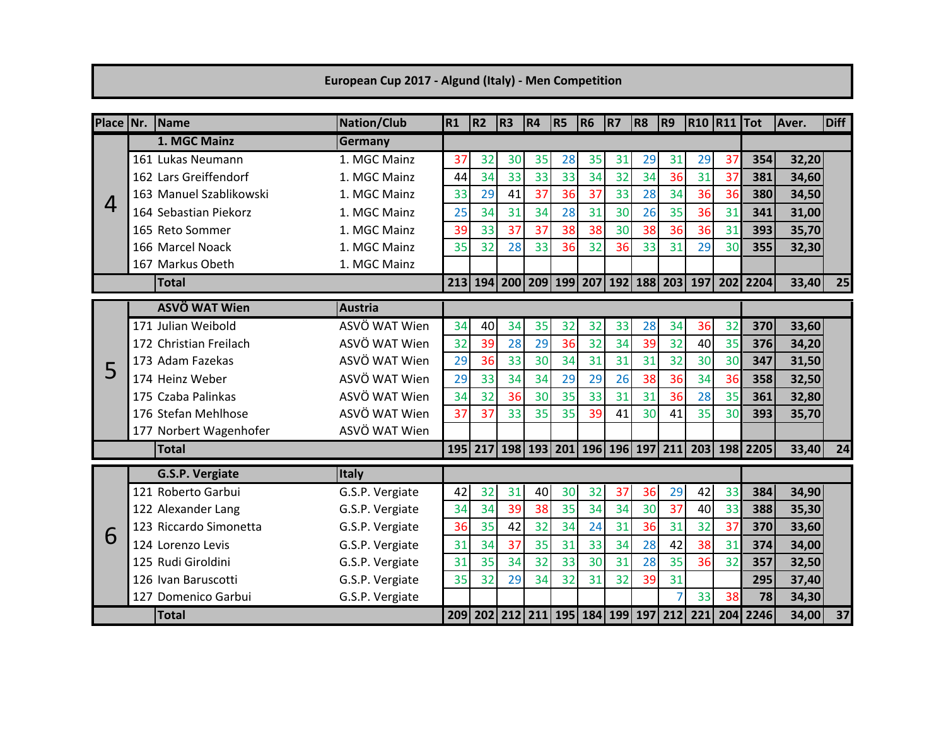## European Cup 2017 - Algund (Italy) - Men Competition

| Place Nr. | Name                    | <b>Nation/Club</b> | R1  | <b>R2</b> | R3 | R4 | R <sub>5</sub> | <b>R6</b> | R7 | R8 | R9 | <b>R10 R11 Tot</b>                                  |    |                                                                        | <b>LAver.</b> | <b>Diff</b>     |
|-----------|-------------------------|--------------------|-----|-----------|----|----|----------------|-----------|----|----|----|-----------------------------------------------------|----|------------------------------------------------------------------------|---------------|-----------------|
|           | 1. MGC Mainz            | Germany            |     |           |    |    |                |           |    |    |    |                                                     |    |                                                                        |               |                 |
|           | 161 Lukas Neumann       | 1. MGC Mainz       | 37  | 32        | 30 | 35 | 28             | 35        | 31 | 29 | 31 | 29                                                  | 37 | 354                                                                    | 32,20         |                 |
|           | 162 Lars Greiffendorf   | 1. MGC Mainz       | 44  | 34        | 33 | 33 | 33             | 34        | 32 | 34 | 36 | 31                                                  | 37 | 381                                                                    | 34,60         |                 |
| 4         | 163 Manuel Szablikowski | 1. MGC Mainz       | 33  | 29        | 41 | 37 | 36             | 37        | 33 | 28 | 34 | 36                                                  | 36 | 380                                                                    | 34,50         |                 |
|           | 164 Sebastian Piekorz   | 1. MGC Mainz       | 25  | 34        | 31 | 34 | 28             | 31        | 30 | 26 | 35 | 36                                                  | 31 | 341                                                                    | 31,00         |                 |
|           | 165 Reto Sommer         | 1. MGC Mainz       | 39  | 33        | 37 | 37 | 38             | 38        | 30 | 38 | 36 | 36                                                  | 31 | 393                                                                    | 35,70         |                 |
|           | 166 Marcel Noack        | 1. MGC Mainz       | 35  | 32        | 28 | 33 | 36             | 32        | 36 | 33 | 31 | 29                                                  | 30 | 355                                                                    | 32,30         |                 |
|           | 167 Markus Obeth        | 1. MGC Mainz       |     |           |    |    |                |           |    |    |    |                                                     |    |                                                                        |               |                 |
|           | <b>Total</b>            |                    | 213 |           |    |    |                |           |    |    |    | 194   200   209   199   207   192   188   203   197 |    | 202 2204                                                               | 33,40         | 25              |
|           | <b>ASVÖ WAT Wien</b>    | <b>Austria</b>     |     |           |    |    |                |           |    |    |    |                                                     |    |                                                                        |               |                 |
|           | 171 Julian Weibold      | ASVÖ WAT Wien      | 34  | 40        | 34 | 35 | 32             | 32        | 33 | 28 | 34 | 36                                                  | 32 | 370                                                                    | 33,60         |                 |
|           | 172 Christian Freilach  | ASVÖ WAT Wien      | 32  | 39        | 28 | 29 | 36             | 32        | 34 | 39 | 32 | 40                                                  | 35 | 376                                                                    | 34,20         |                 |
| 5         | 173 Adam Fazekas        | ASVÖ WAT Wien      | 29  | 36        | 33 | 30 | 34             | 31        | 31 | 31 | 32 | 30                                                  | 30 | 347                                                                    | 31,50         |                 |
|           | 174 Heinz Weber         | ASVÖ WAT Wien      | 29  | 33        | 34 | 34 | 29             | 29        | 26 | 38 | 36 | 34                                                  | 36 | 358                                                                    | 32,50         |                 |
|           | 175 Czaba Palinkas      | ASVÖ WAT Wien      | 34  | 32        | 36 | 30 | 35             | 33        | 31 | 31 | 36 | 28                                                  | 35 | 361                                                                    | 32,80         |                 |
|           | 176 Stefan Mehlhose     | ASVÖ WAT Wien      | 37  | 37        | 33 | 35 | 35             | 39        | 41 | 30 | 41 | 35                                                  | 30 | 393                                                                    | 35,70         |                 |
|           | 177 Norbert Wagenhofer  | ASVÖ WAT Wien      |     |           |    |    |                |           |    |    |    |                                                     |    |                                                                        |               |                 |
|           | <b>Total</b>            |                    |     |           |    |    |                |           |    |    |    |                                                     |    | 195   217   198   193   201   196   196   197   211   203   198   2205 | 33,40         | 24              |
|           | <b>G.S.P. Vergiate</b>  | Italy              |     |           |    |    |                |           |    |    |    |                                                     |    |                                                                        |               |                 |
|           | 121 Roberto Garbui      | G.S.P. Vergiate    | 42  | 32        | 31 | 40 | 30             | 32        | 37 | 36 | 29 | 42                                                  | 33 | 384                                                                    | 34,90         |                 |
|           | 122 Alexander Lang      | G.S.P. Vergiate    | 34  | 34        | 39 | 38 | 35             | 34        | 34 | 30 | 37 | 40                                                  | 33 | 388                                                                    | 35,30         |                 |
| 6         | 123 Riccardo Simonetta  | G.S.P. Vergiate    | 36  | 35        | 42 | 32 | 34             | 24        | 31 | 36 | 31 | 32                                                  | 37 | 370                                                                    | 33,60         |                 |
|           | 124 Lorenzo Levis       | G.S.P. Vergiate    | 31  | 34        | 37 | 35 | 31             | 33        | 34 | 28 | 42 | 38                                                  | 31 | 374                                                                    | 34,00         |                 |
|           | 125 Rudi Giroldini      | G.S.P. Vergiate    | 31  | 35        | 34 | 32 | 33             | 30        | 31 | 28 | 35 | 36                                                  | 32 | 357                                                                    | 32,50         |                 |
|           | 126 Ivan Baruscotti     | G.S.P. Vergiate    | 35  | 32        | 29 | 34 | 32             | 31        | 32 | 39 | 31 |                                                     |    | 295                                                                    | 37,40         |                 |
|           | 127 Domenico Garbui     | G.S.P. Vergiate    |     |           |    |    |                |           |    |    |    | 33                                                  | 38 | 78                                                                     | 34,30         |                 |
|           | <b>Total</b>            |                    |     |           |    |    |                |           |    |    |    | 209 202 212 211 195 184 199 197 212 221             |    | 204 2246                                                               | 34,00         | $\overline{37}$ |